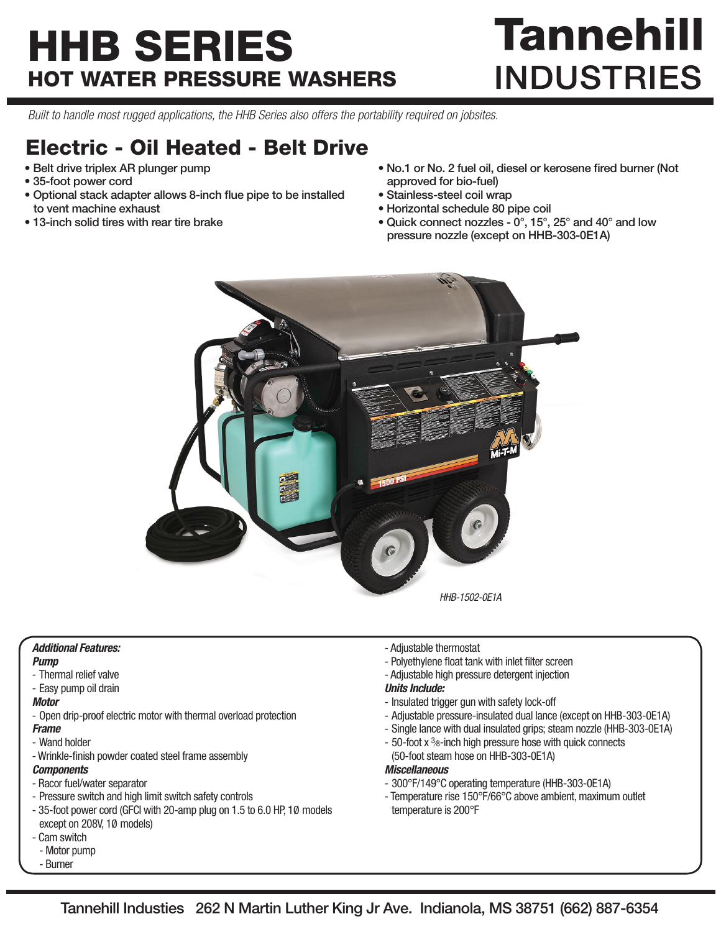# HHB SERIES HOT WATER PRESSURE WASHERS

# **Tannehill INDUSTRIES**

*Built to handle most rugged applications, the HHB Series also offers the portability required on jobsites.*

### Electric - Oil Heated - Belt Drive

- Belt drive triplex AR plunger pump
- 35-foot power cord
- Optional stack adapter allows 8-inch flue pipe to be installed to vent machine exhaust
- 13-inch solid tires with rear tire brake
- No.1 or No. 2 fuel oil, diesel or kerosene fired burner (Not approved for bio-fuel)
- Stainless-steel coil wrap
- Horizontal schedule 80 pipe coil
- Quick connect nozzles 0°, 15°, 25° and 40° and low pressure nozzle (except on HHB-303-0E1A)



#### *Additional Features:*

- *Pump*
- Thermal relief valve
- Easy pump oil drain

#### *Motor*

- Open drip-proof electric motor with thermal overload protection
- *Frame*
- Wand holder
- Wrinkle-finish powder coated steel frame assembly

#### *Components*

- Racor fuel/water separator
- Pressure switch and high limit switch safety controls
- 35-foot power cord (GFCI with 20-amp plug on 1.5 to 6.0 HP, 1Ø models except on 208V, 1Ø models)
- Cam switch
- Motor pump
- Burner
- Adjustable thermostat
- Polyethylene float tank with inlet filter screen
- Adjustable high pressure detergent injection

#### *Units Include:*

- Insulated trigger gun with safety lock-off
- Adjustable pressure-insulated dual lance (except on HHB-303-0E1A)
- Single lance with dual insulated grips; steam nozzle (HHB-303-0E1A)
- 50-foot x 3<sup>8</sup>-inch high pressure hose with quick connects (50-foot steam hose on HHB-303-0E1A)

#### *Miscellaneous*

- 300°F/149°C operating temperature (HHB-303-0E1A)
- Temperature rise 150°F/66°C above ambient, maximum outlet temperature is 200°F